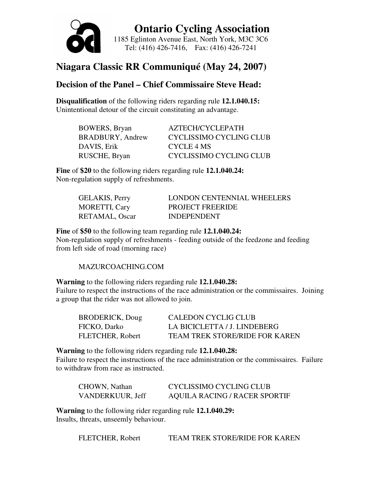

 **Ontario Cycling Association**  1185 Eglinton Avenue East, North York, M3C 3C6 Tel: (416) 426-7416, Fax: (416) 426-7241

# **Niagara Classic RR Communiqué (May 24, 2007)**

## **Decision of the Panel – Chief Commissaire Steve Head:**

**Disqualification** of the following riders regarding rule **12.1.040.15:**  Unintentional detour of the circuit constituting an advantage.

| <b>BOWERS</b> , Bryan   | AZTECH/CYCLEPATH        |
|-------------------------|-------------------------|
| <b>BRADBURY, Andrew</b> | CYCLISSIMO CYCLING CLUB |
| DAVIS, Erik             | CYCLE 4 MS              |
| RUSCHE, Bryan           | CYCLISSIMO CYCLING CLUB |

**Fine** of **\$20** to the following riders regarding rule **12.1.040.24:**  Non-regulation supply of refreshments.

| <b>GELAKIS, Perry</b> | LONDON CENTENNIAL WHEELERS |
|-----------------------|----------------------------|
| <b>MORETTI, Cary</b>  | <b>PROJECT FREERIDE</b>    |
| RETAMAL, Oscar        | <b>INDEPENDENT</b>         |

**Fine** of **\$50** to the following team regarding rule **12.1.040.24:**  Non-regulation supply of refreshments - feeding outside of the feedzone and feeding from left side of road (morning race)

### MAZURCOACHING.COM

**Warning** to the following riders regarding rule **12.1.040.28:**  Failure to respect the instructions of the race administration or the commissaires. Joining a group that the rider was not allowed to join.

| <b>BRODERICK, Doug</b>  | CALEDON CYCLIG CLUB                   |
|-------------------------|---------------------------------------|
| FICKO, Darko            | LA BICICLETTA / J. LINDEBERG          |
| <b>FLETCHER, Robert</b> | <b>TEAM TREK STORE/RIDE FOR KAREN</b> |

**Warning** to the following riders regarding rule **12.1.040.28:** 

Failure to respect the instructions of the race administration or the commissaires. Failure to withdraw from race as instructed.

| CHOWN, Nathan    | CYCLISSIMO CYCLING CLUB              |
|------------------|--------------------------------------|
| VANDERKUUR, Jeff | <b>AQUILA RACING / RACER SPORTIF</b> |

**Warning** to the following rider regarding rule **12.1.040.29:**  Insults, threats, unseemly behaviour.

FLETCHER, Robert TEAM TREK STORE/RIDE FOR KAREN